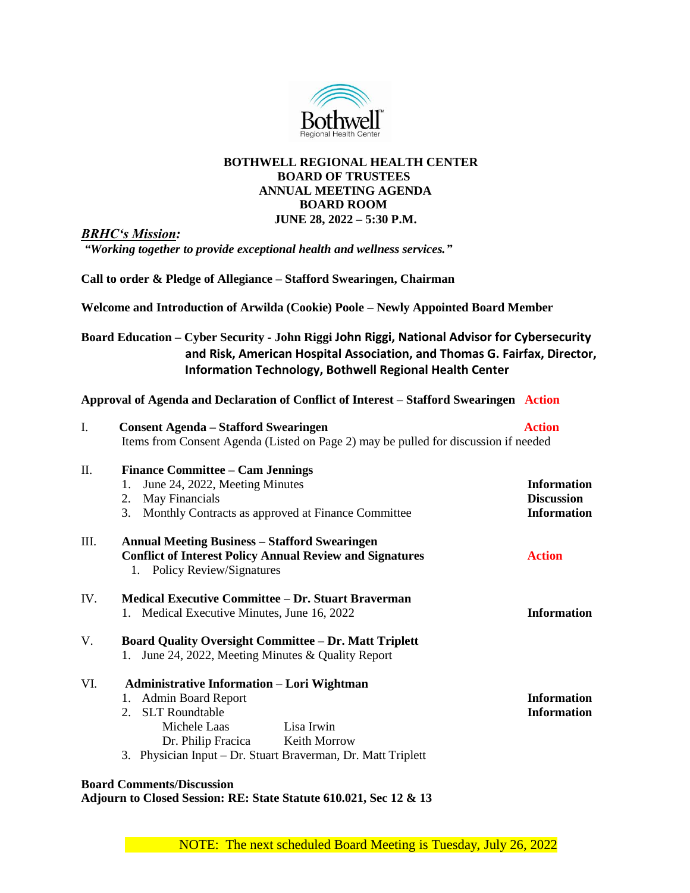

## **BOTHWELL REGIONAL HEALTH CENTER BOARD OF TRUSTEES ANNUAL MEETING AGENDA BOARD ROOM JUNE 28, 2022 – 5:30 P.M.**

*BRHC's Mission:*

*"Working together to provide exceptional health and wellness services."*

**Call to order & Pledge of Allegiance – Stafford Swearingen, Chairman**

**Welcome and Introduction of Arwilda (Cookie) Poole – Newly Appointed Board Member**

**Board Education – Cyber Security - John Riggi John Riggi, National Advisor for Cybersecurity and Risk, American Hospital Association, and Thomas G. Fairfax, Director, Information Technology, Bothwell Regional Health Center**

**Approval of Agenda and Declaration of Conflict of Interest – Stafford Swearingen Action**

| I.<br><b>Consent Agenda – Stafford Swearingen</b>                  |                                                                                     | <b>Action</b>      |
|--------------------------------------------------------------------|-------------------------------------------------------------------------------------|--------------------|
|                                                                    | Items from Consent Agenda (Listed on Page 2) may be pulled for discussion if needed |                    |
| Π.<br><b>Finance Committee – Cam Jennings</b>                      |                                                                                     |                    |
| June 24, 2022, Meeting Minutes<br>1.                               |                                                                                     | <b>Information</b> |
| May Financials<br>2.                                               |                                                                                     | <b>Discussion</b>  |
| Monthly Contracts as approved at Finance Committee<br>3.           |                                                                                     | <b>Information</b> |
| Ш.<br><b>Annual Meeting Business – Stafford Swearingen</b>         |                                                                                     |                    |
| <b>Conflict of Interest Policy Annual Review and Signatures</b>    |                                                                                     | <b>Action</b>      |
| 1. Policy Review/Signatures                                        |                                                                                     |                    |
| <b>Medical Executive Committee – Dr. Stuart Braverman</b><br>IV.   |                                                                                     |                    |
| 1. Medical Executive Minutes, June 16, 2022                        |                                                                                     | <b>Information</b> |
| V.<br><b>Board Quality Oversight Committee - Dr. Matt Triplett</b> |                                                                                     |                    |
| 1. June 24, 2022, Meeting Minutes & Quality Report                 |                                                                                     |                    |
| VI.<br><b>Administrative Information – Lori Wightman</b>           |                                                                                     |                    |
| <b>Admin Board Report</b><br>1.                                    |                                                                                     | <b>Information</b> |
| 2. SLT Roundtable                                                  |                                                                                     | <b>Information</b> |
| Michele Laas                                                       | Lisa Irwin                                                                          |                    |
| Dr. Philip Fracica Keith Morrow                                    |                                                                                     |                    |
| 3. Physician Input – Dr. Stuart Braverman, Dr. Matt Triplett       |                                                                                     |                    |
| <b>Board Comments/Discussion</b>                                   |                                                                                     |                    |

**Adjourn to Closed Session: RE: State Statute 610.021, Sec 12 & 13**